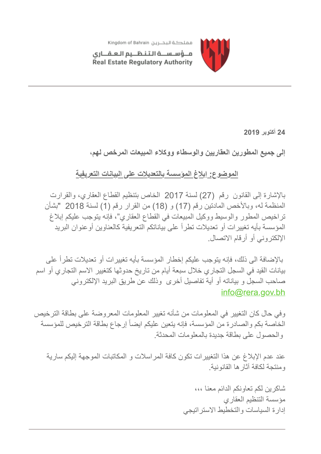

مــؤسـســة الـتـنـظــيم الـعـقـــارى Real Estate Regulatory Authority

**24 أكتوبر 2019**

**إلى جمیع المطورین العقاریین والوسطاء ووكلاء المبیعات المرخص لھم،**

## **الموضوع: إبلاغ المؤسسة بالتعدیلات على البیانات التعریفیة**

بالإشارة إلى القانون رقم (27) لسنة 2017 الخاص بتنظیم القطاع العقاري، والقرارت المنظمة لھ، وبالأخص المادتین رقم (17) و (18) من القرار رقم (1) لسنة 2018 "بشأن تراخیص المطور والوسیط ووكیل المبیعات في القطاع العقاري"، فإنھ یتوجب علیكم إبلاغ المؤسسة بأیھ تغییرات أو تعدیلات تطرأ على بیاناتكم التعریفیة كالعناوین أوعنوان البرید الإلكتروني أو أرقام الاتصال.

 بالإضافة الى ذلك، فإنھ یتوجب علیكم إخطار المؤسسة بأیھ تغییرات أو تعدیلات تطرأ على بیانات القید في السجل التجاري خلال سبعة أیام من تاریخ حدوثھا كتغییر الاسم التجاري أو اسم صاحب السجل و بیاناتھ أو أیة تفاصیل أخرى وذلك عن طریق البرید الإلكتروني [info@rera.gov.bh](mailto:info@rera.gov.bh)

وفي حال كان التغییر في المعلومات من شأنھ تغییر المعلومات المعروضة على بطاقة الترخیص الخاصة بكم والصادرة من المؤسسة، فإنھ یتعین علیكم ایضاً إرجاع بطاقة الترخیص للمؤسسة والحصول على بطاقة جدیدة بالمعلومات المحدثة.

عند عدم الإبلاغ عن ھذا التغییرات تكون كافة المراسلات و المكاتبات الموجھة إلیكم ساریة ومنتجة لكافة آثارھا القانونیة.

> شاكرین لكم تعاونكم الدائم معنا ،،، مؤسسة التنظیم العقاري إدارة السیاسات والتخطیط الاستراتیجي